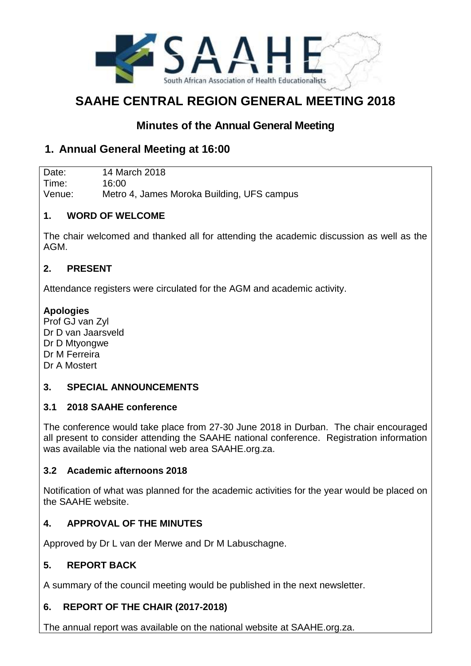

# **SAAHE CENTRAL REGION GENERAL MEETING 2018**

# **Minutes of the Annual General Meeting**

# **1. Annual General Meeting at 16:00**

Date: 14 March 2018 Time: 16:00 Venue: Metro 4, James Moroka Building, UFS campus

#### **1. WORD OF WELCOME**

The chair welcomed and thanked all for attending the academic discussion as well as the AGM.

#### **2. PRESENT**

Attendance registers were circulated for the AGM and academic activity.

#### **Apologies**

Prof GJ van Zyl Dr D van Jaarsveld Dr D Mtyongwe Dr M Ferreira Dr A Mostert

#### **3. SPECIAL ANNOUNCEMENTS**

#### **3.1 2018 SAAHE conference**

The conference would take place from 27-30 June 2018 in Durban. The chair encouraged all present to consider attending the SAAHE national conference. Registration information was available via the national web area SAAHE.org.za.

#### **3.2 Academic afternoons 2018**

Notification of what was planned for the academic activities for the year would be placed on the SAAHE website.

# **4. APPROVAL OF THE MINUTES**

Approved by Dr L van der Merwe and Dr M Labuschagne.

# **5. REPORT BACK**

A summary of the council meeting would be published in the next newsletter.

# **6. REPORT OF THE CHAIR (2017-2018)**

The annual report was available on the national website at SAAHE.org.za.